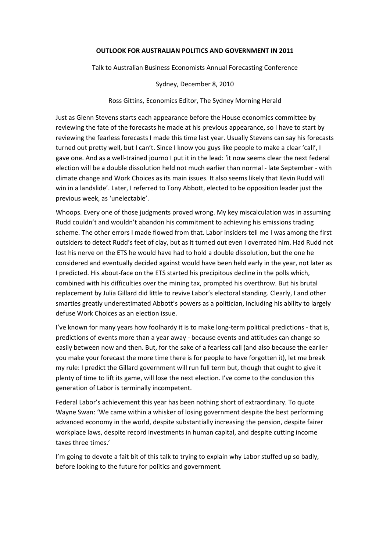#### **OUTLOOK FOR AUSTRALIAN POLITICS AND GOVERNMENT IN 2011**

Talk to Australian Business Economists Annual Forecasting Conference

Sydney, December 8, 2010

Ross Gittins, Economics Editor, The Sydney Morning Herald

Just as Glenn Stevens starts each appearance before the House economics committee by reviewing the fate of the forecasts he made at his previous appearance, so I have to start by reviewing the fearless forecasts I made this time last year. Usually Stevens can say his forecasts turned out pretty well, but I can't. Since I know you guys like people to make a clear 'call', I gave one. And as a well-trained journo I put it in the lead: 'it now seems clear the next federal election will be a double dissolution held not much earlier than normal ‐ late September ‐ with climate change and Work Choices as its main issues. It also seems likely that Kevin Rudd will win in a landslide'. Later, I referred to Tony Abbott, elected to be opposition leader just the previous week, as 'unelectable'.

Whoops. Every one of those judgments proved wrong. My key miscalculation was in assuming Rudd couldn't and wouldn't abandon his commitment to achieving his emissions trading scheme. The other errors I made flowed from that. Labor insiders tell me I was among the first outsiders to detect Rudd's feet of clay, but as it turned out even I overrated him. Had Rudd not lost his nerve on the ETS he would have had to hold a double dissolution, but the one he considered and eventually decided against would have been held early in the year, not later as I predicted. His about‐face on the ETS started his precipitous decline in the polls which, combined with his difficulties over the mining tax, prompted his overthrow. But his brutal replacement by Julia Gillard did little to revive Labor's electoral standing. Clearly, I and other smarties greatly underestimated Abbott's powers as a politician, including his ability to largely defuse Work Choices as an election issue.

I've known for many years how foolhardy it is to make long-term political predictions - that is, predictions of events more than a year away ‐ because events and attitudes can change so easily between now and then. But, for the sake of a fearless call (and also because the earlier you make your forecast the more time there is for people to have forgotten it), let me break my rule: I predict the Gillard government will run full term but, though that ought to give it plenty of time to lift its game, will lose the next election. I've come to the conclusion this generation of Labor is terminally incompetent.

Federal Labor's achievement this year has been nothing short of extraordinary. To quote Wayne Swan: 'We came within a whisker of losing government despite the best performing advanced economy in the world, despite substantially increasing the pension, despite fairer workplace laws, despite record investments in human capital, and despite cutting income taxes three times.'

I'm going to devote a fait bit of this talk to trying to explain why Labor stuffed up so badly, before looking to the future for politics and government.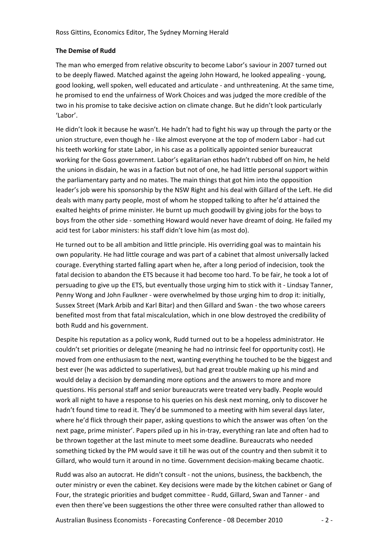# **The Demise of Rudd**

The man who emerged from relative obscurity to become Labor's saviour in 2007 turned out to be deeply flawed. Matched against the ageing John Howard, he looked appealing ‐ young, good looking, well spoken, well educated and articulate ‐ and unthreatening. At the same time, he promised to end the unfairness of Work Choices and was judged the more credible of the two in his promise to take decisive action on climate change. But he didn't look particularly 'Labor'.

He didn't look it because he wasn't. He hadn't had to fight his way up through the party or the union structure, even though he ‐ like almost everyone at the top of modern Labor ‐ had cut his teeth working for state Labor, in his case as a politically appointed senior bureaucrat working for the Goss government. Labor's egalitarian ethos hadn't rubbed off on him, he held the unions in disdain, he was in a faction but not of one, he had little personal support within the parliamentary party and no mates. The main things that got him into the opposition leader's job were his sponsorship by the NSW Right and his deal with Gillard of the Left. He did deals with many party people, most of whom he stopped talking to after he'd attained the exalted heights of prime minister. He burnt up much goodwill by giving jobs for the boys to boys from the other side ‐ something Howard would never have dreamt of doing. He failed my acid test for Labor ministers: his staff didn't love him (as most do).

He turned out to be all ambition and little principle. His overriding goal was to maintain his own popularity. He had little courage and was part of a cabinet that almost universally lacked courage. Everything started falling apart when he, after a long period of indecision, took the fatal decision to abandon the ETS because it had become too hard. To be fair, he took a lot of persuading to give up the ETS, but eventually those urging him to stick with it ‐ Lindsay Tanner, Penny Wong and John Faulkner ‐ were overwhelmed by those urging him to drop it: initially, Sussex Street (Mark Arbib and Karl Bitar) and then Gillard and Swan ‐ the two whose careers benefited most from that fatal miscalculation, which in one blow destroyed the credibility of both Rudd and his government.

Despite his reputation as a policy wonk, Rudd turned out to be a hopeless administrator. He couldn't set priorities or delegate (meaning he had no intrinsic feel for opportunity cost). He moved from one enthusiasm to the next, wanting everything he touched to be the biggest and best ever (he was addicted to superlatives), but had great trouble making up his mind and would delay a decision by demanding more options and the answers to more and more questions. His personal staff and senior bureaucrats were treated very badly. People would work all night to have a response to his queries on his desk next morning, only to discover he hadn't found time to read it. They'd be summoned to a meeting with him several days later, where he'd flick through their paper, asking questions to which the answer was often 'on the next page, prime minister'. Papers piled up in his in‐tray, everything ran late and often had to be thrown together at the last minute to meet some deadline. Bureaucrats who needed something ticked by the PM would save it till he was out of the country and then submit it to Gillard, who would turn it around in no time. Government decision-making became chaotic.

Rudd was also an autocrat. He didn't consult ‐ not the unions, business, the backbench, the outer ministry or even the cabinet. Key decisions were made by the kitchen cabinet or Gang of Four, the strategic priorities and budget committee ‐ Rudd, Gillard, Swan and Tanner ‐ and even then there've been suggestions the other three were consulted rather than allowed to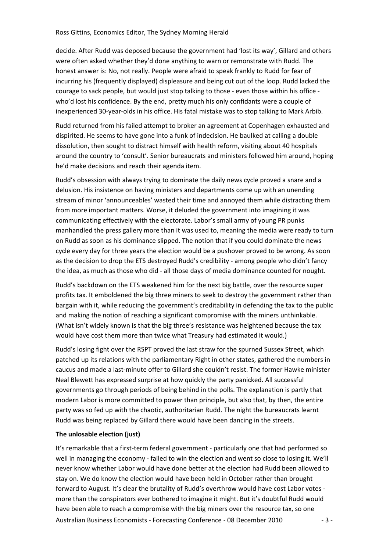decide. After Rudd was deposed because the government had 'lost its way', Gillard and others were often asked whether they'd done anything to warn or remonstrate with Rudd. The honest answer is: No, not really. People were afraid to speak frankly to Rudd for fear of incurring his (frequently displayed) displeasure and being cut out of the loop. Rudd lacked the courage to sack people, but would just stop talking to those - even those within his office who'd lost his confidence. By the end, pretty much his only confidants were a couple of inexperienced 30‐year‐olds in his office. His fatal mistake was to stop talking to Mark Arbib.

Rudd returned from his failed attempt to broker an agreement at Copenhagen exhausted and dispirited. He seems to have gone into a funk of indecision. He baulked at calling a double dissolution, then sought to distract himself with health reform, visiting about 40 hospitals around the country to 'consult'. Senior bureaucrats and ministers followed him around, hoping he'd make decisions and reach their agenda item.

Rudd's obsession with always trying to dominate the daily news cycle proved a snare and a delusion. His insistence on having ministers and departments come up with an unending stream of minor 'announceables' wasted their time and annoyed them while distracting them from more important matters. Worse, it deluded the government into imagining it was communicating effectively with the electorate. Labor's small army of young PR punks manhandled the press gallery more than it was used to, meaning the media were ready to turn on Rudd as soon as his dominance slipped. The notion that if you could dominate the news cycle every day for three years the election would be a pushover proved to be wrong. As soon as the decision to drop the ETS destroyed Rudd's credibility - among people who didn't fancy the idea, as much as those who did ‐ all those days of media dominance counted for nought.

Rudd's backdown on the ETS weakened him for the next big battle, over the resource super profits tax. It emboldened the big three miners to seek to destroy the government rather than bargain with it, while reducing the government's creditability in defending the tax to the public and making the notion of reaching a significant compromise with the miners unthinkable. (What isn't widely known is that the big three's resistance was heightened because the tax would have cost them more than twice what Treasury had estimated it would.)

Rudd's losing fight over the RSPT proved the last straw for the spurned Sussex Street, which patched up its relations with the parliamentary Right in other states, gathered the numbers in caucus and made a last-minute offer to Gillard she couldn't resist. The former Hawke minister Neal Blewett has expressed surprise at how quickly the party panicked. All successful governments go through periods of being behind in the polls. The explanation is partly that modern Labor is more committed to power than principle, but also that, by then, the entire party was so fed up with the chaotic, authoritarian Rudd. The night the bureaucrats learnt Rudd was being replaced by Gillard there would have been dancing in the streets.

## **The unlosable election (just)**

Australian Business Economists ‐ Forecasting Conference ‐ 08 December 2010 ‐ 3 ‐ It's remarkable that a first-term federal government - particularly one that had performed so well in managing the economy - failed to win the election and went so close to losing it. We'll never know whether Labor would have done better at the election had Rudd been allowed to stay on. We do know the election would have been held in October rather than brought forward to August. It's clear the brutality of Rudd's overthrow would have cost Labor votes ‐ more than the conspirators ever bothered to imagine it might. But it's doubtful Rudd would have been able to reach a compromise with the big miners over the resource tax, so one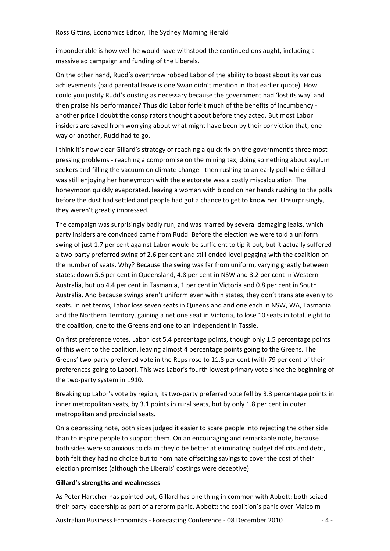imponderable is how well he would have withstood the continued onslaught, including a massive ad campaign and funding of the Liberals.

On the other hand, Rudd's overthrow robbed Labor of the ability to boast about its various achievements (paid parental leave is one Swan didn't mention in that earlier quote). How could you justify Rudd's ousting as necessary because the government had 'lost its way' and then praise his performance? Thus did Labor forfeit much of the benefits of incumbency ‐ another price I doubt the conspirators thought about before they acted. But most Labor insiders are saved from worrying about what might have been by their conviction that, one way or another, Rudd had to go.

I think it's now clear Gillard's strategy of reaching a quick fix on the government's three most pressing problems ‐ reaching a compromise on the mining tax, doing something about asylum seekers and filling the vacuum on climate change - then rushing to an early poll while Gillard was still enjoying her honeymoon with the electorate was a costly miscalculation. The honeymoon quickly evaporated, leaving a woman with blood on her hands rushing to the polls before the dust had settled and people had got a chance to get to know her. Unsurprisingly, they weren't greatly impressed.

The campaign was surprisingly badly run, and was marred by several damaging leaks, which party insiders are convinced came from Rudd. Before the election we were told a uniform swing of just 1.7 per cent against Labor would be sufficient to tip it out, but it actually suffered a two‐party preferred swing of 2.6 per cent and still ended level pegging with the coalition on the number of seats. Why? Because the swing was far from uniform, varying greatly between states: down 5.6 per cent in Queensland, 4.8 per cent in NSW and 3.2 per cent in Western Australia, but up 4.4 per cent in Tasmania, 1 per cent in Victoria and 0.8 per cent in South Australia. And because swings aren't uniform even within states, they don't translate evenly to seats. In net terms, Labor loss seven seats in Queensland and one each in NSW, WA, Tasmania and the Northern Territory, gaining a net one seat in Victoria, to lose 10 seats in total, eight to the coalition, one to the Greens and one to an independent in Tassie.

On first preference votes, Labor lost 5.4 percentage points, though only 1.5 percentage points of this went to the coalition, leaving almost 4 percentage points going to the Greens. The Greens' two‐party preferred vote in the Reps rose to 11.8 per cent (with 79 per cent of their preferences going to Labor). This was Labor's fourth lowest primary vote since the beginning of the two‐party system in 1910.

Breaking up Labor's vote by region, its two‐party preferred vote fell by 3.3 percentage points in inner metropolitan seats, by 3.1 points in rural seats, but by only 1.8 per cent in outer metropolitan and provincial seats.

On a depressing note, both sides judged it easier to scare people into rejecting the other side than to inspire people to support them. On an encouraging and remarkable note, because both sides were so anxious to claim they'd be better at eliminating budget deficits and debt, both felt they had no choice but to nominate offsetting savings to cover the cost of their election promises (although the Liberals' costings were deceptive).

## **Gillard's strengths and weaknesses**

As Peter Hartcher has pointed out, Gillard has one thing in common with Abbott: both seized their party leadership as part of a reform panic. Abbott: the coalition's panic over Malcolm

Australian Business Economists ‐ Forecasting Conference ‐ 08 December 2010 ‐ 4 ‐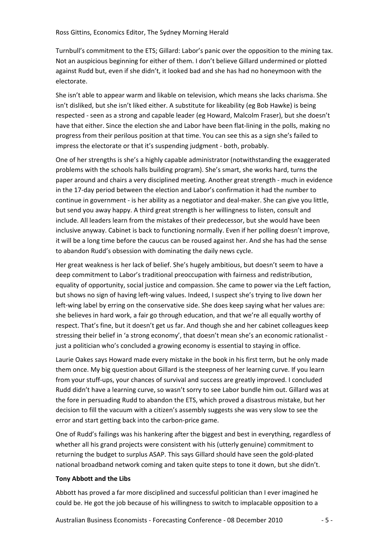Turnbull's commitment to the ETS; Gillard: Labor's panic over the opposition to the mining tax. Not an auspicious beginning for either of them. I don't believe Gillard undermined or plotted against Rudd but, even if she didn't, it looked bad and she has had no honeymoon with the electorate.

She isn't able to appear warm and likable on television, which means she lacks charisma. She isn't disliked, but she isn't liked either. A substitute for likeability (eg Bob Hawke) is being respected ‐ seen as a strong and capable leader (eg Howard, Malcolm Fraser), but she doesn't have that either. Since the election she and Labor have been flat-lining in the polls, making no progress from their perilous position at that time. You can see this as a sign she's failed to impress the electorate or that it's suspending judgment ‐ both, probably.

One of her strengths is she's a highly capable administrator (notwithstanding the exaggerated problems with the schools halls building program). She's smart, she works hard, turns the paper around and chairs a very disciplined meeting. Another great strength ‐ much in evidence in the 17‐day period between the election and Labor's confirmation it had the number to continue in government ‐ is her ability as a negotiator and deal‐maker. She can give you little, but send you away happy. A third great strength is her willingness to listen, consult and include. All leaders learn from the mistakes of their predecessor, but she would have been inclusive anyway. Cabinet is back to functioning normally. Even if her polling doesn't improve, it will be a long time before the caucus can be roused against her. And she has had the sense to abandon Rudd's obsession with dominating the daily news cycle.

Her great weakness is her lack of belief. She's hugely ambitious, but doesn't seem to have a deep commitment to Labor's traditional preoccupation with fairness and redistribution, equality of opportunity, social justice and compassion. She came to power via the Left faction, but shows no sign of having left‐wing values. Indeed, I suspect she's trying to live down her left-wing label by erring on the conservative side. She does keep saying what her values are: she believes in hard work, a fair go through education, and that we're all equally worthy of respect. That's fine, but it doesn't get us far. And though she and her cabinet colleagues keep stressing their belief in 'a strong economy', that doesn't mean she's an economic rationalist just a politician who's concluded a growing economy is essential to staying in office.

Laurie Oakes says Howard made every mistake in the book in his first term, but he only made them once. My big question about Gillard is the steepness of her learning curve. If you learn from your stuff‐ups, your chances of survival and success are greatly improved. I concluded Rudd didn't have a learning curve, so wasn't sorry to see Labor bundle him out. Gillard was at the fore in persuading Rudd to abandon the ETS, which proved a disastrous mistake, but her decision to fill the vacuum with a citizen's assembly suggests she was very slow to see the error and start getting back into the carbon‐price game.

One of Rudd's failings was his hankering after the biggest and best in everything, regardless of whether all his grand projects were consistent with his (utterly genuine) commitment to returning the budget to surplus ASAP. This says Gillard should have seen the gold‐plated national broadband network coming and taken quite steps to tone it down, but she didn't.

## **Tony Abbott and the Libs**

Abbott has proved a far more disciplined and successful politician than I ever imagined he could be. He got the job because of his willingness to switch to implacable opposition to a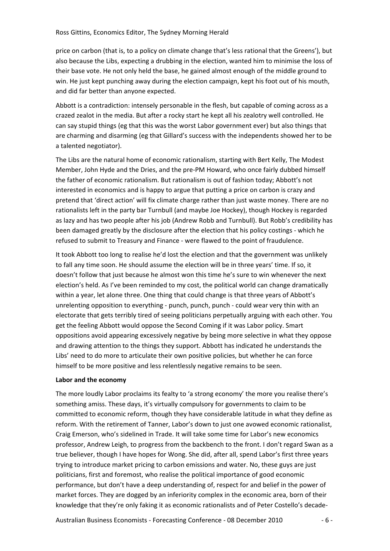price on carbon (that is, to a policy on climate change that's less rational that the Greens'), but also because the Libs, expecting a drubbing in the election, wanted him to minimise the loss of their base vote. He not only held the base, he gained almost enough of the middle ground to win. He just kept punching away during the election campaign, kept his foot out of his mouth, and did far better than anyone expected.

Abbott is a contradiction: intensely personable in the flesh, but capable of coming across as a crazed zealot in the media. But after a rocky start he kept all his zealotry well controlled. He can say stupid things (eg that this was the worst Labor government ever) but also things that are charming and disarming (eg that Gillard's success with the independents showed her to be a talented negotiator).

The Libs are the natural home of economic rationalism, starting with Bert Kelly, The Modest Member, John Hyde and the Dries, and the pre‐PM Howard, who once fairly dubbed himself the father of economic rationalism. But rationalism is out of fashion today; Abbott's not interested in economics and is happy to argue that putting a price on carbon is crazy and pretend that 'direct action' will fix climate charge rather than just waste money. There are no rationalists left in the party bar Turnbull (and maybe Joe Hockey), though Hockey is regarded as lazy and has two people after his job (Andrew Robb and Turnbull). But Robb's credibility has been damaged greatly by the disclosure after the election that his policy costings ‐ which he refused to submit to Treasury and Finance ‐ were flawed to the point of fraudulence.

It took Abbott too long to realise he'd lost the election and that the government was unlikely to fall any time soon. He should assume the election will be in three years' time. If so, it doesn't follow that just because he almost won this time he's sure to win whenever the next election's held. As I've been reminded to my cost, the political world can change dramatically within a year, let alone three. One thing that could change is that three years of Abbott's unrelenting opposition to everything - punch, punch, punch - could wear very thin with an electorate that gets terribly tired of seeing politicians perpetually arguing with each other. You get the feeling Abbott would oppose the Second Coming if it was Labor policy. Smart oppositions avoid appearing excessively negative by being more selective in what they oppose and drawing attention to the things they support. Abbott has indicated he understands the Libs' need to do more to articulate their own positive policies, but whether he can force himself to be more positive and less relentlessly negative remains to be seen.

## **Labor and the economy**

The more loudly Labor proclaims its fealty to 'a strong economy' the more you realise there's something amiss. These days, it's virtually compulsory for governments to claim to be committed to economic reform, though they have considerable latitude in what they define as reform. With the retirement of Tanner, Labor's down to just one avowed economic rationalist, Craig Emerson, who's sidelined in Trade. It will take some time for Labor's new economics professor, Andrew Leigh, to progress from the backbench to the front. I don't regard Swan as a true believer, though I have hopes for Wong. She did, after all, spend Labor's first three years trying to introduce market pricing to carbon emissions and water. No, these guys are just politicians, first and foremost, who realise the political importance of good economic performance, but don't have a deep understanding of, respect for and belief in the power of market forces. They are dogged by an inferiority complex in the economic area, born of their knowledge that they're only faking it as economic rationalists and of Peter Costello's decade‐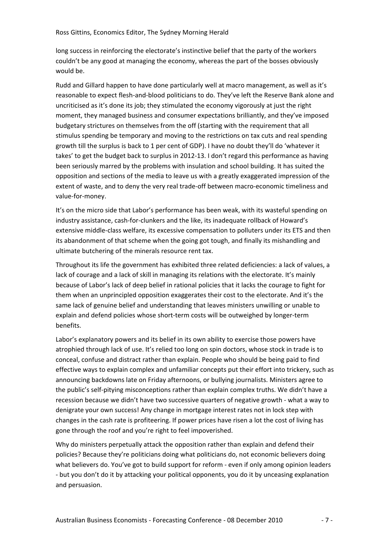long success in reinforcing the electorate's instinctive belief that the party of the workers couldn't be any good at managing the economy, whereas the part of the bosses obviously would be.

Rudd and Gillard happen to have done particularly well at macro management, as well as it's reasonable to expect flesh-and-blood politicians to do. They've left the Reserve Bank alone and uncriticised as it's done its job; they stimulated the economy vigorously at just the right moment, they managed business and consumer expectations brilliantly, and they've imposed budgetary strictures on themselves from the off (starting with the requirement that all stimulus spending be temporary and moving to the restrictions on tax cuts and real spending growth till the surplus is back to 1 per cent of GDP). I have no doubt they'll do 'whatever it takes' to get the budget back to surplus in 2012‐13. I don't regard this performance as having been seriously marred by the problems with insulation and school building. It has suited the opposition and sections of the media to leave us with a greatly exaggerated impression of the extent of waste, and to deny the very real trade‐off between macro‐economic timeliness and value‐for‐money.

It's on the micro side that Labor's performance has been weak, with its wasteful spending on industry assistance, cash-for-clunkers and the like, its inadequate rollback of Howard's extensive middle-class welfare, its excessive compensation to polluters under its ETS and then its abandonment of that scheme when the going got tough, and finally its mishandling and ultimate butchering of the minerals resource rent tax.

Throughout its life the government has exhibited three related deficiencies: a lack of values, a lack of courage and a lack of skill in managing its relations with the electorate. It's mainly because of Labor's lack of deep belief in rational policies that it lacks the courage to fight for them when an unprincipled opposition exaggerates their cost to the electorate. And it's the same lack of genuine belief and understanding that leaves ministers unwilling or unable to explain and defend policies whose short-term costs will be outweighed by longer-term benefits.

Labor's explanatory powers and its belief in its own ability to exercise those powers have atrophied through lack of use. It's relied too long on spin doctors, whose stock in trade is to conceal, confuse and distract rather than explain. People who should be being paid to find effective ways to explain complex and unfamiliar concepts put their effort into trickery, such as announcing backdowns late on Friday afternoons, or bullying journalists. Ministers agree to the public's self‐pitying misconceptions rather than explain complex truths. We didn't have a recession because we didn't have two successive quarters of negative growth ‐ what a way to denigrate your own success! Any change in mortgage interest rates not in lock step with changes in the cash rate is profiteering. If power prices have risen a lot the cost of living has gone through the roof and you're right to feel impoverished.

Why do ministers perpetually attack the opposition rather than explain and defend their policies? Because they're politicians doing what politicians do, not economic believers doing what believers do. You've got to build support for reform - even if only among opinion leaders ‐ but you don't do it by attacking your political opponents, you do it by unceasing explanation and persuasion.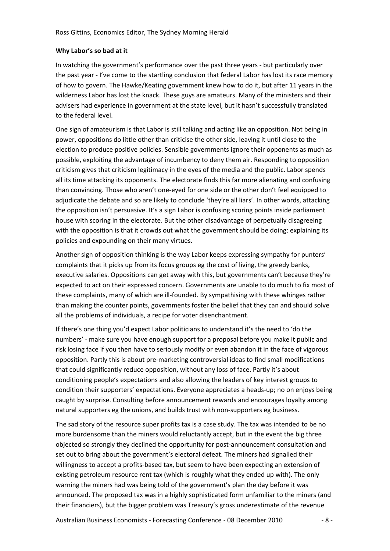# **Why Labor's so bad at it**

In watching the government's performance over the past three years ‐ but particularly over the past year ‐ I've come to the startling conclusion that federal Labor has lost its race memory of how to govern. The Hawke/Keating government knew how to do it, but after 11 years in the wilderness Labor has lost the knack. These guys are amateurs. Many of the ministers and their advisers had experience in government at the state level, but it hasn't successfully translated to the federal level.

One sign of amateurism is that Labor is still talking and acting like an opposition. Not being in power, oppositions do little other than criticise the other side, leaving it until close to the election to produce positive policies. Sensible governments ignore their opponents as much as possible, exploiting the advantage of incumbency to deny them air. Responding to opposition criticism gives that criticism legitimacy in the eyes of the media and the public. Labor spends all its time attacking its opponents. The electorate finds this far more alienating and confusing than convincing. Those who aren't one‐eyed for one side or the other don't feel equipped to adjudicate the debate and so are likely to conclude 'they're all liars'. In other words, attacking the opposition isn't persuasive. It's a sign Labor is confusing scoring points inside parliament house with scoring in the electorate. But the other disadvantage of perpetually disagreeing with the opposition is that it crowds out what the government should be doing: explaining its policies and expounding on their many virtues.

Another sign of opposition thinking is the way Labor keeps expressing sympathy for punters' complaints that it picks up from its focus groups eg the cost of living, the greedy banks, executive salaries. Oppositions can get away with this, but governments can't because they're expected to act on their expressed concern. Governments are unable to do much to fix most of these complaints, many of which are ill‐founded. By sympathising with these whinges rather than making the counter points, governments foster the belief that they can and should solve all the problems of individuals, a recipe for voter disenchantment.

If there's one thing you'd expect Labor politicians to understand it's the need to 'do the numbers' ‐ make sure you have enough support for a proposal before you make it public and risk losing face if you then have to seriously modify or even abandon it in the face of vigorous opposition. Partly this is about pre‐marketing controversial ideas to find small modifications that could significantly reduce opposition, without any loss of face. Partly it's about conditioning people's expectations and also allowing the leaders of key interest groups to condition their supporters' expectations. Everyone appreciates a heads‐up; no on enjoys being caught by surprise. Consulting before announcement rewards and encourages loyalty among natural supporters eg the unions, and builds trust with non‐supporters eg business.

The sad story of the resource super profits tax is a case study. The tax was intended to be no more burdensome than the miners would reluctantly accept, but in the event the big three objected so strongly they declined the opportunity for post-announcement consultation and set out to bring about the government's electoral defeat. The miners had signalled their willingness to accept a profits‐based tax, but seem to have been expecting an extension of existing petroleum resource rent tax (which is roughly what they ended up with). The only warning the miners had was being told of the government's plan the day before it was announced. The proposed tax was in a highly sophisticated form unfamiliar to the miners (and their financiers), but the bigger problem was Treasury's gross underestimate of the revenue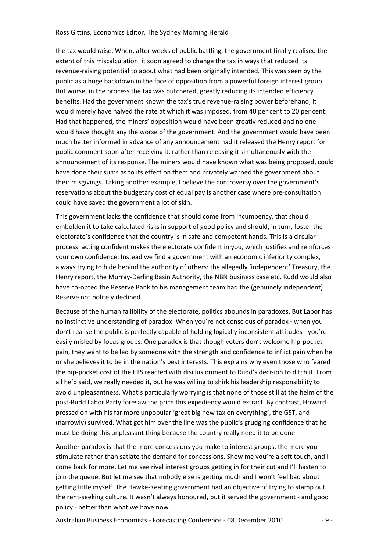the tax would raise. When, after weeks of public battling, the government finally realised the extent of this miscalculation, it soon agreed to change the tax in ways that reduced its revenue‐raising potential to about what had been originally intended. This was seen by the public as a huge backdown in the face of opposition from a powerful foreign interest group. But worse, in the process the tax was butchered, greatly reducing its intended efficiency benefits. Had the government known the tax's true revenue-raising power beforehand, it would merely have halved the rate at which it was imposed, from 40 per cent to 20 per cent. Had that happened, the miners' opposition would have been greatly reduced and no one would have thought any the worse of the government. And the government would have been much better informed in advance of any announcement had it released the Henry report for public comment soon after receiving it, rather than releasing it simultaneously with the announcement of its response. The miners would have known what was being proposed, could have done their sums as to its effect on them and privately warned the government about their misgivings. Taking another example, I believe the controversy over the government's reservations about the budgetary cost of equal pay is another case where pre‐consultation could have saved the government a lot of skin.

This government lacks the confidence that should come from incumbency, that should embolden it to take calculated risks in support of good policy and should, in turn, foster the electorate's confidence that the country is in safe and competent hands. This is a circular process: acting confident makes the electorate confident in you, which justifies and reinforces your own confidence. Instead we find a government with an economic inferiority complex, always trying to hide behind the authority of others: the allegedly 'independent' Treasury, the Henry report, the Murray‐Darling Basin Authority, the NBN business case etc. Rudd would also have co-opted the Reserve Bank to his management team had the (genuinely independent) Reserve not politely declined.

Because of the human fallibility of the electorate, politics abounds in paradoxes. But Labor has no instinctive understanding of paradox. When you're not conscious of paradox ‐ when you don't realise the public is perfectly capable of holding logically inconsistent attitudes ‐ you're easily misled by focus groups. One paradox is that though voters don't welcome hip‐pocket pain, they want to be led by someone with the strength and confidence to inflict pain when he or she believes it to be in the nation's best interests. This explains why even those who feared the hip‐pocket cost of the ETS reacted with disillusionment to Rudd's decision to ditch it. From all he'd said, we really needed it, but he was willing to shirk his leadership responsibility to avoid unpleasantness. What's particularly worrying is that none of those still at the helm of the post-Rudd Labor Party foresaw the price this expediency would extract. By contrast, Howard pressed on with his far more unpopular 'great big new tax on everything', the GST, and (narrowly) survived. What got him over the line was the public's grudging confidence that he must be doing this unpleasant thing because the country really need it to be done.

Another paradox is that the more concessions you make to interest groups, the more you stimulate rather than satiate the demand for concessions. Show me you're a soft touch, and I come back for more. Let me see rival interest groups getting in for their cut and I'll hasten to join the queue. But let me see that nobody else is getting much and I won't feel bad about getting little myself. The Hawke‐Keating government had an objective of trying to stamp out the rent-seeking culture. It wasn't always honoured, but it served the government - and good policy ‐ better than what we have now.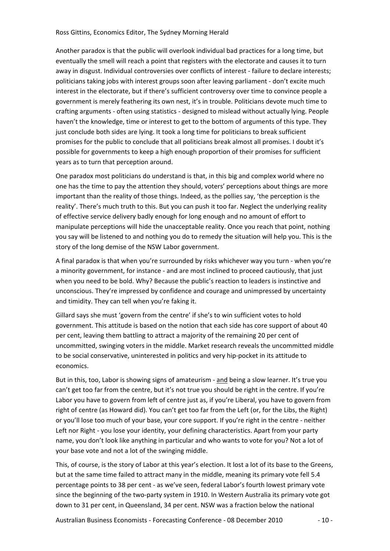Another paradox is that the public will overlook individual bad practices for a long time, but eventually the smell will reach a point that registers with the electorate and causes it to turn away in disgust. Individual controversies over conflicts of interest - failure to declare interests; politicians taking jobs with interest groups soon after leaving parliament ‐ don't excite much interest in the electorate, but if there's sufficient controversy over time to convince people a government is merely feathering its own nest, it's in trouble. Politicians devote much time to crafting arguments ‐ often using statistics ‐ designed to mislead without actually lying. People haven't the knowledge, time or interest to get to the bottom of arguments of this type. They just conclude both sides are lying. It took a long time for politicians to break sufficient promises for the public to conclude that all politicians break almost all promises. I doubt it's possible for governments to keep a high enough proportion of their promises for sufficient years as to turn that perception around.

One paradox most politicians do understand is that, in this big and complex world where no one has the time to pay the attention they should, voters' perceptions about things are more important than the reality of those things. Indeed, as the pollies say, 'the perception is the reality'. There's much truth to this. But you can push it too far. Neglect the underlying reality of effective service delivery badly enough for long enough and no amount of effort to manipulate perceptions will hide the unacceptable reality. Once you reach that point, nothing you say will be listened to and nothing you do to remedy the situation will help you. This is the story of the long demise of the NSW Labor government.

A final paradox is that when you're surrounded by risks whichever way you turn - when you're a minority government, for instance ‐ and are most inclined to proceed cautiously, that just when you need to be bold. Why? Because the public's reaction to leaders is instinctive and unconscious. They're impressed by confidence and courage and unimpressed by uncertainty and timidity. They can tell when you're faking it.

Gillard says she must 'govern from the centre' if she's to win sufficient votes to hold government. This attitude is based on the notion that each side has core support of about 40 per cent, leaving them battling to attract a majority of the remaining 20 per cent of uncommitted, swinging voters in the middle. Market research reveals the uncommitted middle to be social conservative, uninterested in politics and very hip‐pocket in its attitude to economics.

But in this, too, Labor is showing signs of amateurism - and being a slow learner. It's true you can't get too far from the centre, but it's not true you should be right in the centre. If you're Labor you have to govern from left of centre just as, if you're Liberal, you have to govern from right of centre (as Howard did). You can't get too far from the Left (or, for the Libs, the Right) or you'll lose too much of your base, your core support. If you're right in the centre ‐ neither Left nor Right - you lose your identity, your defining characteristics. Apart from your party name, you don't look like anything in particular and who wants to vote for you? Not a lot of your base vote and not a lot of the swinging middle.

This, of course, is the story of Labor at this year's election. It lost a lot of its base to the Greens, but at the same time failed to attract many in the middle, meaning its primary vote fell 5.4 percentage points to 38 per cent ‐ as we've seen, federal Labor's fourth lowest primary vote since the beginning of the two-party system in 1910. In Western Australia its primary vote got down to 31 per cent, in Queensland, 34 per cent. NSW was a fraction below the national

Australian Business Economists - Forecasting Conference - 08 December 2010 - 10 -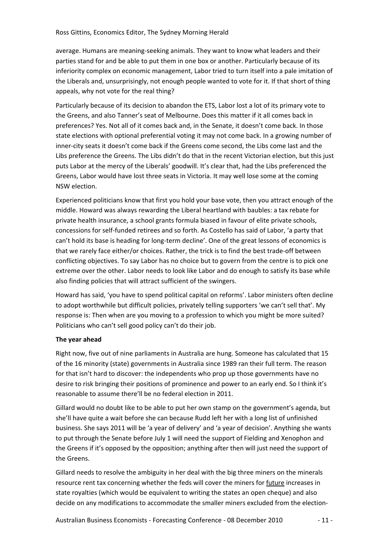average. Humans are meaning‐seeking animals. They want to know what leaders and their parties stand for and be able to put them in one box or another. Particularly because of its inferiority complex on economic management, Labor tried to turn itself into a pale imitation of the Liberals and, unsurprisingly, not enough people wanted to vote for it. If that short of thing appeals, why not vote for the real thing?

Particularly because of its decision to abandon the ETS, Labor lost a lot of its primary vote to the Greens, and also Tanner's seat of Melbourne. Does this matter if it all comes back in preferences? Yes. Not all of it comes back and, in the Senate, it doesn't come back. In those state elections with optional preferential voting it may not come back. In a growing number of inner‐city seats it doesn't come back if the Greens come second, the Libs come last and the Libs preference the Greens. The Libs didn't do that in the recent Victorian election, but this just puts Labor at the mercy of the Liberals' goodwill. It's clear that, had the Libs preferenced the Greens, Labor would have lost three seats in Victoria. It may well lose some at the coming NSW election.

Experienced politicians know that first you hold your base vote, then you attract enough of the middle. Howard was always rewarding the Liberal heartland with baubles: a tax rebate for private health insurance, a school grants formula biased in favour of elite private schools, concessions for self‐funded retirees and so forth. As Costello has said of Labor, 'a party that can't hold its base is heading for long-term decline'. One of the great lessons of economics is that we rarely face either/or choices. Rather, the trick is to find the best trade‐off between conflicting objectives. To say Labor has no choice but to govern from the centre is to pick one extreme over the other. Labor needs to look like Labor and do enough to satisfy its base while also finding policies that will attract sufficient of the swingers.

Howard has said, 'you have to spend political capital on reforms'. Labor ministers often decline to adopt worthwhile but difficult policies, privately telling supporters 'we can't sell that'. My response is: Then when are you moving to a profession to which you might be more suited? Politicians who can't sell good policy can't do their job.

# **The year ahead**

Right now, five out of nine parliaments in Australia are hung. Someone has calculated that 15 of the 16 minority (state) governments in Australia since 1989 ran their full term. The reason for that isn't hard to discover: the independents who prop up those governments have no desire to risk bringing their positions of prominence and power to an early end. So I think it's reasonable to assume there'll be no federal election in 2011.

Gillard would no doubt like to be able to put her own stamp on the government's agenda, but she'll have quite a wait before she can because Rudd left her with a long list of unfinished business. She says 2011 will be 'a year of delivery' and 'a year of decision'. Anything she wants to put through the Senate before July 1 will need the support of Fielding and Xenophon and the Greens if it's opposed by the opposition; anything after then will just need the support of the Greens.

Gillard needs to resolve the ambiguity in her deal with the big three miners on the minerals resource rent tax concerning whether the feds will cover the miners for future increases in state royalties (which would be equivalent to writing the states an open cheque) and also decide on any modifications to accommodate the smaller miners excluded from the election‐

Australian Business Economists ‐ Forecasting Conference ‐ 08 December 2010 ‐ 11 ‐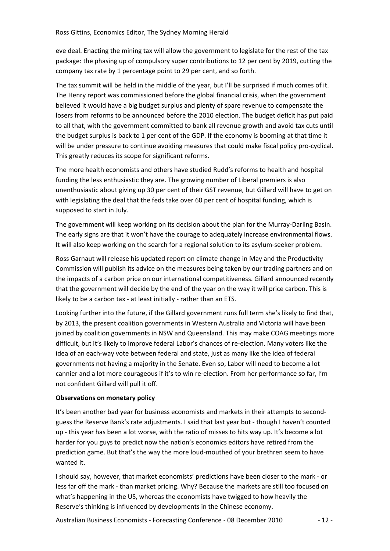eve deal. Enacting the mining tax will allow the government to legislate for the rest of the tax package: the phasing up of compulsory super contributions to 12 per cent by 2019, cutting the company tax rate by 1 percentage point to 29 per cent, and so forth.

The tax summit will be held in the middle of the year, but I'll be surprised if much comes of it. The Henry report was commissioned before the global financial crisis, when the government believed it would have a big budget surplus and plenty of spare revenue to compensate the losers from reforms to be announced before the 2010 election. The budget deficit has put paid to all that, with the government committed to bank all revenue growth and avoid tax cuts until the budget surplus is back to 1 per cent of the GDP. If the economy is booming at that time it will be under pressure to continue avoiding measures that could make fiscal policy pro-cyclical. This greatly reduces its scope for significant reforms.

The more health economists and others have studied Rudd's reforms to health and hospital funding the less enthusiastic they are. The growing number of Liberal premiers is also unenthusiastic about giving up 30 per cent of their GST revenue, but Gillard will have to get on with legislating the deal that the feds take over 60 per cent of hospital funding, which is supposed to start in July.

The government will keep working on its decision about the plan for the Murray‐Darling Basin. The early signs are that it won't have the courage to adequately increase environmental flows. It will also keep working on the search for a regional solution to its asylum‐seeker problem.

Ross Garnaut will release his updated report on climate change in May and the Productivity Commission will publish its advice on the measures being taken by our trading partners and on the impacts of a carbon price on our international competitiveness. Gillard announced recently that the government will decide by the end of the year on the way it will price carbon. This is likely to be a carbon tax ‐ at least initially ‐ rather than an ETS.

Looking further into the future, if the Gillard government runs full term she's likely to find that, by 2013, the present coalition governments in Western Australia and Victoria will have been joined by coalition governments in NSW and Queensland. This may make COAG meetings more difficult, but it's likely to improve federal Labor's chances of re‐election. Many voters like the idea of an each‐way vote between federal and state, just as many like the idea of federal governments not having a majority in the Senate. Even so, Labor will need to become a lot cannier and a lot more courageous if it's to win re-election. From her performance so far, I'm not confident Gillard will pull it off.

## **Observations on monetary policy**

It's been another bad year for business economists and markets in their attempts to second‐ guess the Reserve Bank's rate adjustments. I said that last year but ‐ though I haven't counted up - this year has been a lot worse, with the ratio of misses to hits way up. It's become a lot harder for you guys to predict now the nation's economics editors have retired from the prediction game. But that's the way the more loud-mouthed of your brethren seem to have wanted it.

I should say, however, that market economists' predictions have been closer to the mark ‐ or less far off the mark ‐ than market pricing. Why? Because the markets are still too focused on what's happening in the US, whereas the economists have twigged to how heavily the Reserve's thinking is influenced by developments in the Chinese economy.

Australian Business Economists ‐ Forecasting Conference ‐ 08 December 2010 ‐ 12 ‐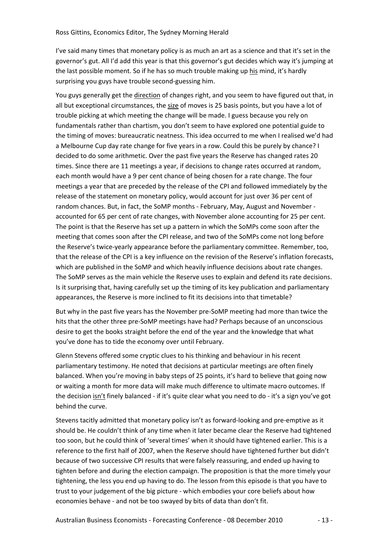I've said many times that monetary policy is as much an art as a science and that it's set in the governor's gut. All I'd add this year is that this governor's gut decides which way it's jumping at the last possible moment. So if he has so much trouble making up his mind, it's hardly surprising you guys have trouble second‐guessing him.

You guys generally get the direction of changes right, and you seem to have figured out that, in all but exceptional circumstances, the size of moves is 25 basis points, but you have a lot of trouble picking at which meeting the change will be made. I guess because you rely on fundamentals rather than chartism, you don't seem to have explored one potential guide to the timing of moves: bureaucratic neatness. This idea occurred to me when I realised we'd had a Melbourne Cup day rate change for five years in a row. Could this be purely by chance? I decided to do some arithmetic. Over the past five years the Reserve has changed rates 20 times. Since there are 11 meetings a year, if decisions to change rates occurred at random, each month would have a 9 per cent chance of being chosen for a rate change. The four meetings a year that are preceded by the release of the CPI and followed immediately by the release of the statement on monetary policy, would account for just over 36 per cent of random chances. But, in fact, the SoMP months ‐ February, May, August and November ‐ accounted for 65 per cent of rate changes, with November alone accounting for 25 per cent. The point is that the Reserve has set up a pattern in which the SoMPs come soon after the meeting that comes soon after the CPI release, and two of the SoMPs come not long before the Reserve's twice‐yearly appearance before the parliamentary committee. Remember, too, that the release of the CPI is a key influence on the revision of the Reserve's inflation forecasts, which are published in the SoMP and which heavily influence decisions about rate changes. The SoMP serves as the main vehicle the Reserve uses to explain and defend its rate decisions. Is it surprising that, having carefully set up the timing of its key publication and parliamentary appearances, the Reserve is more inclined to fit its decisions into that timetable?

But why in the past five years has the November pre‐SoMP meeting had more than twice the hits that the other three pre‐SoMP meetings have had? Perhaps because of an unconscious desire to get the books straight before the end of the year and the knowledge that what you've done has to tide the economy over until February.

Glenn Stevens offered some cryptic clues to his thinking and behaviour in his recent parliamentary testimony. He noted that decisions at particular meetings are often finely balanced. When you're moving in baby steps of 25 points, it's hard to believe that going now or waiting a month for more data will make much difference to ultimate macro outcomes. If the decision isn't finely balanced ‐ if it's quite clear what you need to do ‐ it's a sign you've got behind the curve.

Stevens tacitly admitted that monetary policy isn't as forward-looking and pre-emptive as it should be. He couldn't think of any time when it later became clear the Reserve had tightened too soon, but he could think of 'several times' when it should have tightened earlier. This is a reference to the first half of 2007, when the Reserve should have tightened further but didn't because of two successive CPI results that were falsely reassuring, and ended up having to tighten before and during the election campaign. The proposition is that the more timely your tightening, the less you end up having to do. The lesson from this episode is that you have to trust to your judgement of the big picture ‐ which embodies your core beliefs about how economies behave ‐ and not be too swayed by bits of data than don't fit.